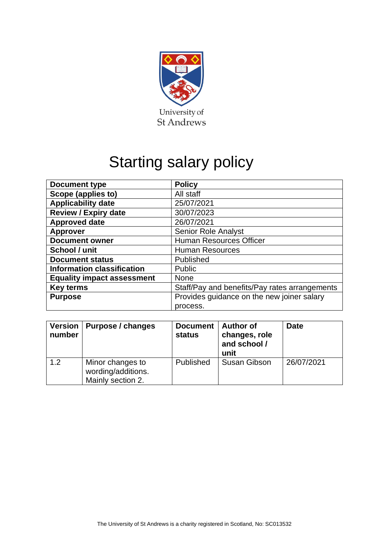

# Starting salary policy

| <b>Document type</b>              | <b>Policy</b>                                 |  |  |
|-----------------------------------|-----------------------------------------------|--|--|
| Scope (applies to)                | All staff                                     |  |  |
| <b>Applicability date</b>         | 25/07/2021                                    |  |  |
| <b>Review / Expiry date</b>       | 30/07/2023                                    |  |  |
| <b>Approved date</b>              | 26/07/2021                                    |  |  |
| <b>Approver</b>                   | <b>Senior Role Analyst</b>                    |  |  |
| <b>Document owner</b>             | <b>Human Resources Officer</b>                |  |  |
| School / unit                     | <b>Human Resources</b>                        |  |  |
| <b>Document status</b>            | Published                                     |  |  |
| <b>Information classification</b> | Public                                        |  |  |
| <b>Equality impact assessment</b> | <b>None</b>                                   |  |  |
| <b>Key terms</b>                  | Staff/Pay and benefits/Pay rates arrangements |  |  |
| <b>Purpose</b>                    | Provides guidance on the new joiner salary    |  |  |
|                                   | process.                                      |  |  |

| Version  <br>number | <b>Purpose / changes</b>                                    | <b>Document</b><br><b>status</b> | <b>Author of</b><br>changes, role<br>and school /<br>unit | <b>Date</b> |
|---------------------|-------------------------------------------------------------|----------------------------------|-----------------------------------------------------------|-------------|
| 1.2                 | Minor changes to<br>wording/additions.<br>Mainly section 2. | Published                        | <b>Susan Gibson</b>                                       | 26/07/2021  |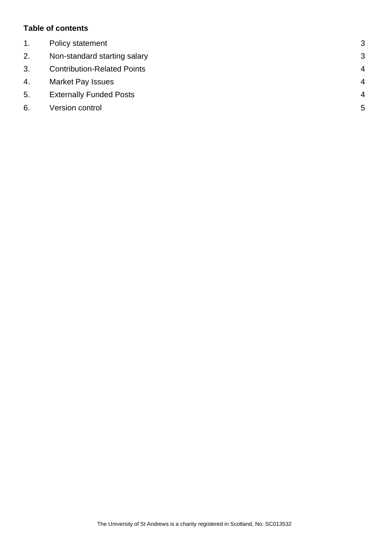#### **Table of contents**

| $1_{\cdot}$ | Policy statement                   | 3              |
|-------------|------------------------------------|----------------|
| 2.          | Non-standard starting salary       | 3              |
| 3.          | <b>Contribution-Related Points</b> | $\overline{4}$ |
| 4.          | <b>Market Pay Issues</b>           | $\overline{4}$ |
| 5.          | <b>Externally Funded Posts</b>     | $\overline{4}$ |
| 6.          | Version control                    | 5              |
|             |                                    |                |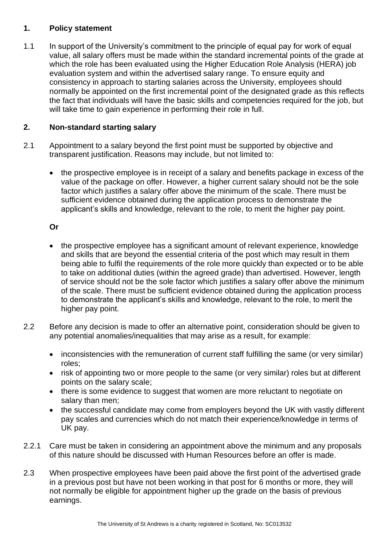#### <span id="page-2-0"></span>**1. Policy statement**

1.1 In support of the University's commitment to the principle of equal pay for work of equal value, all salary offers must be made within the standard incremental points of the grade at which the role has been evaluated using the Higher Education Role Analysis (HERA) job evaluation system and within the advertised salary range. To ensure equity and consistency in approach to starting salaries across the University, employees should normally be appointed on the first incremental point of the designated grade as this reflects the fact that individuals will have the basic skills and competencies required for the job, but will take time to gain experience in performing their role in full.

# <span id="page-2-1"></span>**2. Non-standard starting salary**

- 2.1 Appointment to a salary beyond the first point must be supported by objective and transparent justification. Reasons may include, but not limited to:
	- the prospective employee is in receipt of a salary and benefits package in excess of the value of the package on offer. However, a higher current salary should not be the sole factor which justifies a salary offer above the minimum of the scale. There must be sufficient evidence obtained during the application process to demonstrate the applicant's skills and knowledge, relevant to the role, to merit the higher pay point.

# **Or**

- the prospective employee has a significant amount of relevant experience, knowledge and skills that are beyond the essential criteria of the post which may result in them being able to fulfil the requirements of the role more quickly than expected or to be able to take on additional duties (within the agreed grade) than advertised. However, length of service should not be the sole factor which justifies a salary offer above the minimum of the scale. There must be sufficient evidence obtained during the application process to demonstrate the applicant's skills and knowledge, relevant to the role, to merit the higher pay point.
- 2.2 Before any decision is made to offer an alternative point, consideration should be given to any potential anomalies/inequalities that may arise as a result, for example:
	- inconsistencies with the remuneration of current staff fulfilling the same (or very similar) roles;
	- risk of appointing two or more people to the same (or very similar) roles but at different points on the salary scale;
	- there is some evidence to suggest that women are more reluctant to negotiate on salary than men;
	- the successful candidate may come from employers beyond the UK with vastly different pay scales and currencies which do not match their experience/knowledge in terms of UK pay.
- 2.2.1 Care must be taken in considering an appointment above the minimum and any proposals of this nature should be discussed with Human Resources before an offer is made.
- 2.3 When prospective employees have been paid above the first point of the advertised grade in a previous post but have not been working in that post for 6 months or more, they will not normally be eligible for appointment higher up the grade on the basis of previous earnings.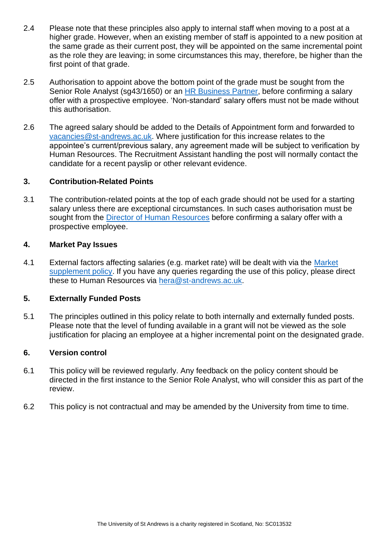- 2.4 Please note that these principles also apply to internal staff when moving to a post at a higher grade. However, when an existing member of staff is appointed to a new position at the same grade as their current post, they will be appointed on the same incremental point as the role they are leaving; in some circumstances this may, therefore, be higher than the first point of that grade.
- 2.5 Authorisation to appoint above the bottom point of the grade must be sought from the Senior Role Analyst (sq43/1650) or an [HR Business Partner,](https://www.st-andrews.ac.uk/hr/businesspartner/) before confirming a salary offer with a prospective employee. 'Non-standard' salary offers must not be made without this authorisation.
- 2.6 The agreed salary should be added to the Details of Appointment form and forwarded to [vacancies@st-andrews.ac.uk.](mailto:vacancies@st-andrews.ac.uk) Where justification for this increase relates to the appointee's current/previous salary, any agreement made will be subject to verification by Human Resources. The Recruitment Assistant handling the post will normally contact the candidate for a recent payslip or other relevant evidence.

#### <span id="page-3-0"></span>**3. Contribution-Related Points**

3.1 The contribution-related points at the top of each grade should not be used for a starting salary unless there are exceptional circumstances. In such cases authorisation must be sought from the **Director of [Human Resources](mailto:hrdirector@st-andrews.ac.uk) before confirming a salary offer with a** prospective employee.

#### <span id="page-3-1"></span>**4. Market Pay Issues**

4.1 External factors affecting salaries (e.g. market rate) will be dealt with via the [Market](https://www.st-andrews.ac.uk/staff/policy/hr/marketsupplementpolicy/)  [supplement policy.](https://www.st-andrews.ac.uk/staff/policy/hr/marketsupplementpolicy/) If you have any queries regarding the use of this policy, please direct these to Human Resources via [hera@st-andrews.ac.uk.](mailto:hera@st-andrews.ac.uk)

# <span id="page-3-2"></span>**5. Externally Funded Posts**

5.1 The principles outlined in this policy relate to both internally and externally funded posts. Please note that the level of funding available in a grant will not be viewed as the sole justification for placing an employee at a higher incremental point on the designated grade.

# <span id="page-3-3"></span>**6. Version control**

- 6.1 This policy will be reviewed regularly. Any feedback on the policy content should be directed in the first instance to the Senior Role Analyst, who will consider this as part of the review.
- 6.2 This policy is not contractual and may be amended by the University from time to time.